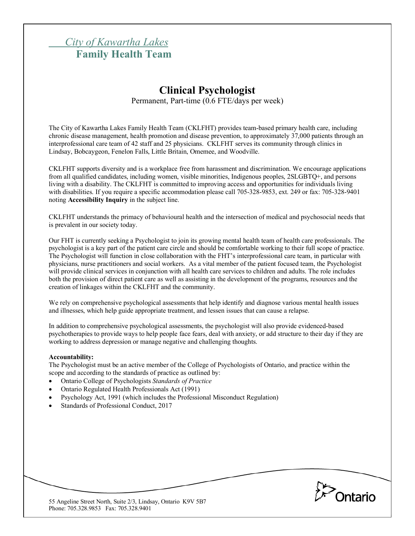# *City of Kawartha Lakes* **Family Health Team**

## **Clinical Psychologist**

Permanent, Part-time (0.6 FTE/days per week)

The City of Kawartha Lakes Family Health Team (CKLFHT) provides team-based primary health care, including chronic disease management, health promotion and disease prevention, to approximately 37,000 patients through an interprofessional care team of 42 staff and 25 physicians. CKLFHT serves its community through clinics in Lindsay, Bobcaygeon, Fenelon Falls, Little Britain, Omemee, and Woodville.

CKLFHT supports diversity and is a workplace free from harassment and discrimination. We encourage applications from all qualified candidates, including women, visible minorities, Indigenous peoples, 2SLGBTQ+, and persons living with a disability. The CKLFHT is committed to improving access and opportunities for individuals living with disabilities. If you require a specific accommodation please call 705-328-9853, ext. 249 or fax: 705-328-9401 noting **Accessibility Inquiry** in the subject line.

CKLFHT understands the primacy of behavioural health and the intersection of medical and psychosocial needs that is prevalent in our society today.

Our FHT is currently seeking a Psychologist to join its growing mental health team of health care professionals. The psychologist is a key part of the patient care circle and should be comfortable working to their full scope of practice. The Psychologist will function in close collaboration with the FHT's interprofessional care team, in particular with physicians, nurse practitioners and social workers. As a vital member of the patient focused team, the Psychologist will provide clinical services in conjunction with all health care services to children and adults. The role includes both the provision of direct patient care as well as assisting in the development of the programs, resources and the creation of linkages within the CKLFHT and the community.

We rely on comprehensive psychological assessments that help identify and diagnose various mental health issues and illnesses, which help guide appropriate treatment, and lessen issues that can cause a relapse.

In addition to comprehensive psychological assessments, the psychologist will also provide evidenced-based psychotherapies to provide ways to help people face fears, deal with anxiety, or add structure to their day if they are working to address depression or manage negative and challenging thoughts.

#### **Accountability:**

The Psychologist must be an active member of the College of Psychologists of Ontario, and practice within the scope and according to the standards of practice as outlined by:

- Ontario College of Psychologists *Standards of Practice*
- Ontario Regulated Health Professionals Act (1991)
- Psychology Act, 1991 (which includes the Professional Misconduct Regulation)
- Standards of Professional Conduct, 2017

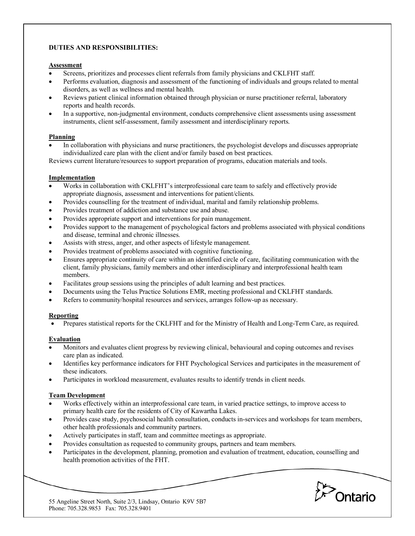### **DUTIES AND RESPONSIBILITIES:**

#### **Assessment**

- Screens, prioritizes and processes client referrals from family physicians and CKLFHT staff.
- Performs evaluation, diagnosis and assessment of the functioning of individuals and groups related to mental disorders, as well as wellness and mental health.
- Reviews patient clinical information obtained through physician or nurse practitioner referral, laboratory reports and health records.
- In a supportive, non-judgmental environment, conducts comprehensive client assessments using assessment instruments, client self-assessment, family assessment and interdisciplinary reports.

#### **Planning**

• In collaboration with physicians and nurse practitioners, the psychologist develops and discusses appropriate individualized care plan with the client and/or family based on best practices.

Reviews current literature/resources to support preparation of programs, education materials and tools.

#### **Implementation**

- Works in collaboration with CKLFHT's interprofessional care team to safely and effectively provide appropriate diagnosis, assessment and interventions for patient/clients.
- Provides counselling for the treatment of individual, marital and family relationship problems.
- Provides treatment of addiction and substance use and abuse.
- Provides appropriate support and interventions for pain management.
- Provides support to the management of psychological factors and problems associated with physical conditions and disease, terminal and chronic illnesses.
- Assists with stress, anger, and other aspects of lifestyle management.
- Provides treatment of problems associated with cognitive functioning.
- Ensures appropriate continuity of care within an identified circle of care, facilitating communication with the client, family physicians, family members and other interdisciplinary and interprofessional health team members.
- Facilitates group sessions using the principles of adult learning and best practices.
- Documents using the Telus Practice Solutions EMR, meeting professional and CKLFHT standards.
- Refers to community/hospital resources and services, arranges follow-up as necessary.

#### **Reporting**

• Prepares statistical reports for the CKLFHT and for the Ministry of Health and Long-Term Care, as required.

#### **Evaluation**

- Monitors and evaluates client progress by reviewing clinical, behavioural and coping outcomes and revises care plan as indicated.
- Identifies key performance indicators for FHT Psychological Services and participates in the measurement of these indicators.
- Participates in workload measurement, evaluates results to identify trends in client needs.

#### **Team Development**

- Works effectively within an interprofessional care team, in varied practice settings, to improve access to primary health care for the residents of City of Kawartha Lakes.
- Provides case study, psychosocial health consultation, conducts in-services and workshops for team members, other health professionals and community partners.
- Actively participates in staff, team and committee meetings as appropriate.
- Provides consultation as requested to community groups, partners and team members.
- Participates in the development, planning, promotion and evaluation of treatment, education, counselling and health promotion activities of the FHT.

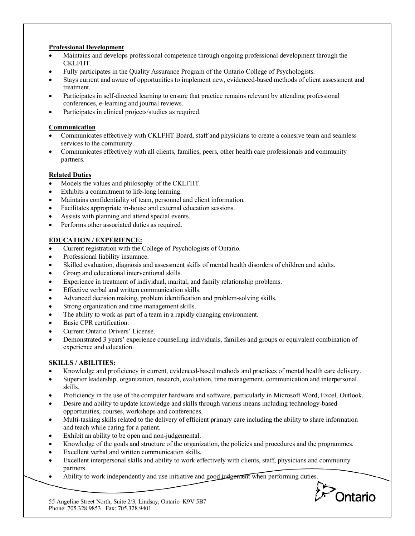## **Professional Development**

- Maintains and develops professional competence through ongoing professional development through the CKLFHT.
- Fully participates in the Quality Assurance Program of the Ontario College of Psychologists.
- Stays current and aware of opportunities to implement new, evidenced-based methods of client assessment and treatment.
- Participates in self-directed learning to ensure that practice remains relevant by attending professional conferences, e-learning and journal reviews.
- Participates in clinical projects/studies as required.

### **Communication**

- Communicates effectively with CKLFHT Board, staff and physicians to create a cohesive team and seamless services to the community.
- Communicates effectively with all clients, families, peers, other health care professionals and community partners.

## **Related Duties**

- Models the values and philosophy of the CKLFHT.
- Exhibits a commitment to life-long learning.
- Maintains confidentiality of team, personnel and client information.
- Facilitates appropriate in-house and external education sessions.
- Assists with planning and attend special events.
- Performs other associated duties as required.

## **EDUCATION / EXPERIENCE:**

- Current registration with the College of Psychologists of Ontario.
- Professional liability insurance.
- Skilled evaluation, diagnosis and assessment skills of mental health disorders of children and adults.
- Group and educational interventional skills.
- Experience in treatment of individual, marital, and family relationship problems.
- Effective verbal and written communication skills.
- Advanced decision making, problem identification and problem-solving skills.
- Strong organization and time management skills.
- The ability to work as part of a team in a rapidly changing environment.
- Basic CPR certification.
- Current Ontario Drivers' License.
- Demonstrated 3 years' experience counselling individuals, families and groups or equivalent combination of experience and education.

## **SKILLS / ABILITIES:**

- Knowledge and proficiency in current, evidenced-based methods and practices of mental health care delivery.
- Superior leadership, organization, research, evaluation, time management, communication and interpersonal skills.
- Proficiency in the use of the computer hardware and software, particularly in Microsoft Word, Excel, Outlook.
- Desire and ability to update knowledge and skills through various means including technology-based opportunities, courses, workshops and conferences.
- Multi-tasking skills related to the delivery of efficient primary care including the ability to share information and teach while caring for a patient.
- Exhibit an ability to be open and non-judgemental.
- Knowledge of the goals and structure of the organization, the policies and procedures and the programmes.
- Excellent verbal and written communication skills.
- Excellent interpersonal skills and ability to work effectively with clients, staff, physicians and community partners.
- Ability to work independently and use initiative and good judgement when performing duties.